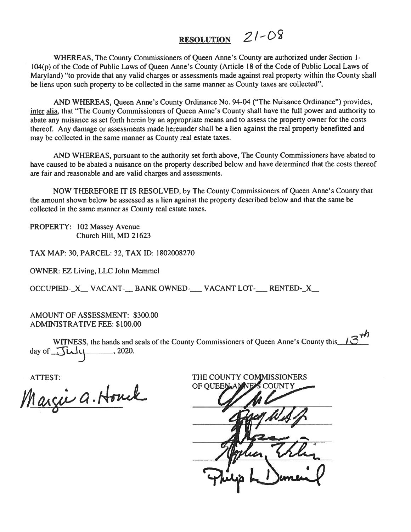# RESOLUTION  $21 - 08$

WHEREAS, The County Commissioners of Queen Anne's County are authorized under Section 1- 104(p) of the Code of Public Laws of Queen Anne's County (Article <sup>18</sup> of the Code of Public Local Laws of Maryland) "to provide that any valid charges or assessments made against real property within the County shall be liens upon such property to be collected in the same manner as County taxes are collected",

AND WHEREAS, Queen Anne's County Ordinance No. 94-04 ("The Nuisance Ordinance") provides, inter alia, that "The County Commissioners of Queen Anne's County shall have the full power and authority to abate any nuisance as set forth herein by an appropriate means and to assess the property owner for the costs thereof. Any damage or assessments made hereunder shall be <sup>a</sup> lien against the real property benefitted and may be collected in the same manner as County real estate taxes.

AND WHEREAS, pursuan<sup>t</sup> to the authority set forth above, The County Commissioners have abated to have caused to be abated <sup>a</sup> nuisance on the property described below and have determined that the costs thereof are fair and reasonable and are valid charges and assessments.

NOW THEREFORE IT IS RESOLVED, by The County Commissioners of Queen Anne's County that the amount shown below be assessed as <sup>a</sup> lien against the property described below and that the same be collected in the same manner as County real estate taxes.

PROPERTY: 102 Massey Avenue Church Hill, MD 21623

TAX MAP: 30, PARCEL: 32, TAX ID: 1802008270

OWNER: EZ Living, LLC John Memmel

OCCUPIED-X VACANT-\_\_ BANK OWNED-\_\_\_ VACANT LOT-\_\_\_ RENTED-\_X\_\_

AMOUNT OF ASSESSMENT: \$300.00 ADMINISTRATIVE FEE: \$100.00

WITNESS, the hands and seals of the County Commissioners of Queen Anne's County this  $\mathcal{B}^{\mathcal{H}}$ day of  $\overline{\mathcal{J}\mu\mu}$ , 2020.

Margie a. Houck

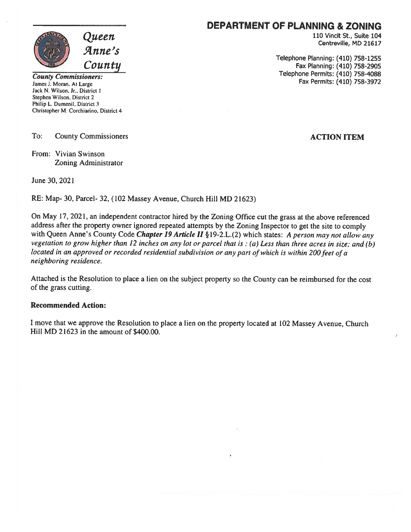

Jack N. Wilson. Jr., District 1 Stephen Wilson, District 2 Philip L. Dumenil. District 3 Christopher M. Corchiarino, District 4

To: County Commissioners **ACTION ITEM** 

From: Vivian Swinson Zoning Administrator

June 30, 2021

RE: Map- 30, Parcel- 32, (102 Massey Avenue, Church Hill MD 21623)

On May 17, 2021, an independent contractor hired by the Zoning Office cut the grass at the above referenced address after the property owner ignored repeated attempts by the Zoning Inspector to ge<sup>t</sup> the site to comply with Queen Anne's County Code Chapter 19 Article II § 19-2.L.(2) which states: A person may not allow any vegetation to grow higher than <sup>12</sup> inches on any lot or parce<sup>l</sup> that is: (a) Less than three acres in size; and (b) located in an approved or recorded residential subdivision or any part of which is within 200 feet of a neighboring residence.

Attached is the Resolution to <sup>p</sup>lace <sup>a</sup> lien on the subject property so the County can be reimbursed for the cost of the grass cutting.

#### Recommended Action:

<sup>I</sup> move that we approve the Resolution to <sup>p</sup>lace <sup>a</sup> lien on the property located at <sup>102</sup> Massey Avenue, Church Hill MD 21623 in the amount of \$400.00.

### DEPARTMENT OF PLANNING & ZONING

 $Queuen$  and the contract of the contract of the contract of the contract of the contract of the contract of the contract of  $\alpha$  Centreville, MD 21617

Telephone Planning: (410) 758-1255<br>Fax Planning: (410) 758-1255 Fax Planning: (410) 758-2905<br>Fax Permits: (410) 758-4088 Fax Permits: (410) 758-3972<br>Fax Permits: (410) 758-3972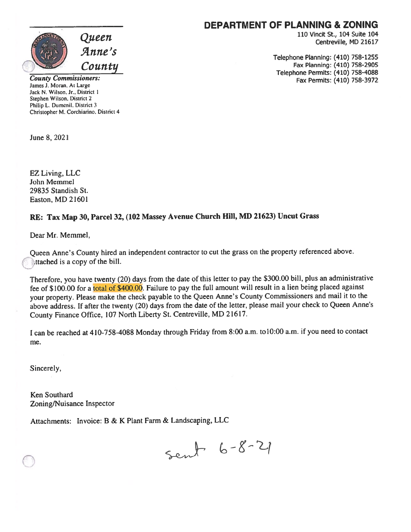

County Commissioners: James J. Moran. At Large Jack N. Wilson, Jr., District I Stephen Wilson. District 2 Philip L. Dumenil. District 3 Christopher M. Corchiarino. District <sup>4</sup>

June 8,2021

EZ Living, LLC John Memmel 29835 Standish St. Easton, MD 21601

#### RE: Tax Map 30, Parcel 32, (102 Massey Avenue Church Hill, MD 21623) Uncut Grass

Dear Mr. Memmel,

Queen Anne's County hired an independent contractor to cut the grass on the property referenced above. ttached is a copy of the bill.

Therefore, you have twenty (20) days from the date of this letter to pay the \$300.00 bill, <sup>p</sup>lus an administrative fee of \$100.00 for a total of \$400.00. Failure to pay the full amount will result in a lien being placed against your property. Please make the check payable to the Queen Anne's County Commissioners and mail it to the above address. If after the twenty (20) days from the date of the letter, <sup>p</sup>lease mail your check to Queen Anne's County Finance Office, <sup>107</sup> North Liberty St. Centreville, MD 21617.

I can be reached at 410-758-4088 Monday through Friday from 8:00 a.m. to 10:00 a.m. if you need to contact me.

Sincerely,

Ken Southard Zoning/Nuisance Inspector

Attachments: Invoice: B & K Plant Farm & Landscaping, LLC

sent 6-8-21

#### DEPARTMENT OF PLANNING & ZONING

110 Vincit St., 104 Suite 104 Centreville, MD 21617

Telephone Planning: (410) 758-1255 Fax Planning: (410) 758-2905 Telephone Permits: (410) 758-4088 Fax Permits: (410) 758-3972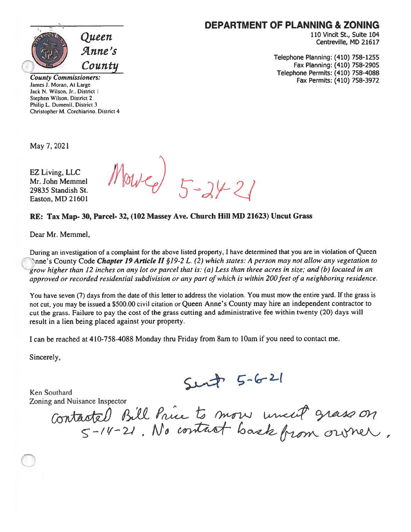

DEPARTMENT OF PLANNING & ZONING

110 Vincit St., Suite 104 Centreville, MD 21617

Telephone Planning: (410) 758-1255 Fax Planning: (410) 758-2905 Telephone Permits: (410) 758-4088 Fax Permits: (410) 758-3972

County Commissioners: James J. Moran, At Large Jack N. Wilson, Jr., District I Stephen Wilson, District 2 Philip L. Dumenil. District 3 Christopher M. Corchiarino. District 4

May 7, 2021

EZ Living, LLC Mr. John Memmel 29835 Standish St. Easton, MD 21601

 $Mowe & 5-24-21$ 

#### RE: Tax Map- 30, Parcel- 32, (102 Massey Ave. Church Hill MD 21623) Uncut Grass

Dear Mr. Memmel,

During an investigation of <sup>a</sup> complaint for the above listed property, <sup>I</sup> have determined that you are in violation of Queen Inne's County Code Chapter 19 Article II §19-2 L. (2) which states: A person may not allow any vegetation to grow higher than <sup>12</sup> inches on any lot or parce<sup>l</sup> that is. (a) Less than three acres in size,' and (b) located in an approved or recorded residential subdivision or any part of which is within 200 feet of a neighboring residence.

You have seven (7) days from the date of this letter to address the violation. You must mow the entire yard. If the grass is not cut, you may be issued <sup>a</sup> \$500.00 civil citation or Queen Anne's County may hire an independent contractor to cut the grass. Failure to pay the cost of the grass cutting and administrative fee within twenty (20) days will result in <sup>a</sup> lien being placed against your property.

<sup>I</sup> can be reached at 410-758-4088 Monday thru Friday from 8am to lOam if you need to contact me.

Sincerely,

Ken Southard

 $5 - 621$ 

Zoning and Nuisance Inspector Contactel Bill Price  $\zeta$  - /  $4$  -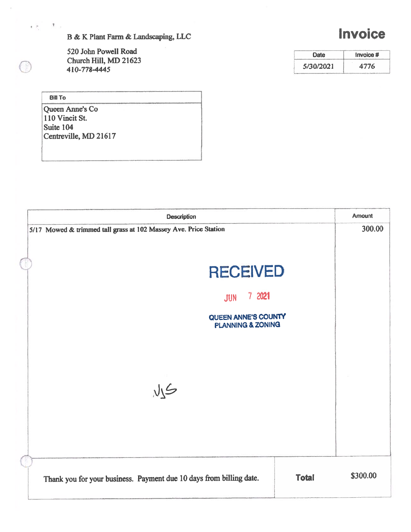B & K Plant Farm & Landscaping, LLC

520 John Powell Road Church Hill, MD 21623 410-778-4445

Bill To

 $\mathcal{T}$ 

 $\circledcirc$ 

 $\mathbf{c}\cdot\hat{\mathbf{c}}$  .

Queen Anne's Co 110 Vincit St. Suite 104 Centreville, MD 21617

| <b>Description</b>                                                                  | <b>Amount</b> |
|-------------------------------------------------------------------------------------|---------------|
| 5/17 Mowed & trimmed tall grass at 102 Massey Ave. Price Station                    | 300.00        |
| <b>RECEIVED</b>                                                                     |               |
| 7 2021<br><b>JUN</b>                                                                |               |
| QUEEN ANNE'S COUNTY<br><b>PLANNING &amp; ZONING</b>                                 |               |
| MS                                                                                  |               |
|                                                                                     |               |
| <b>Total</b><br>Thank you for your business. Payment due 10 days from billing date. | \$300.00      |

Date Invoice # 5/30/2021 4776

## Invoice